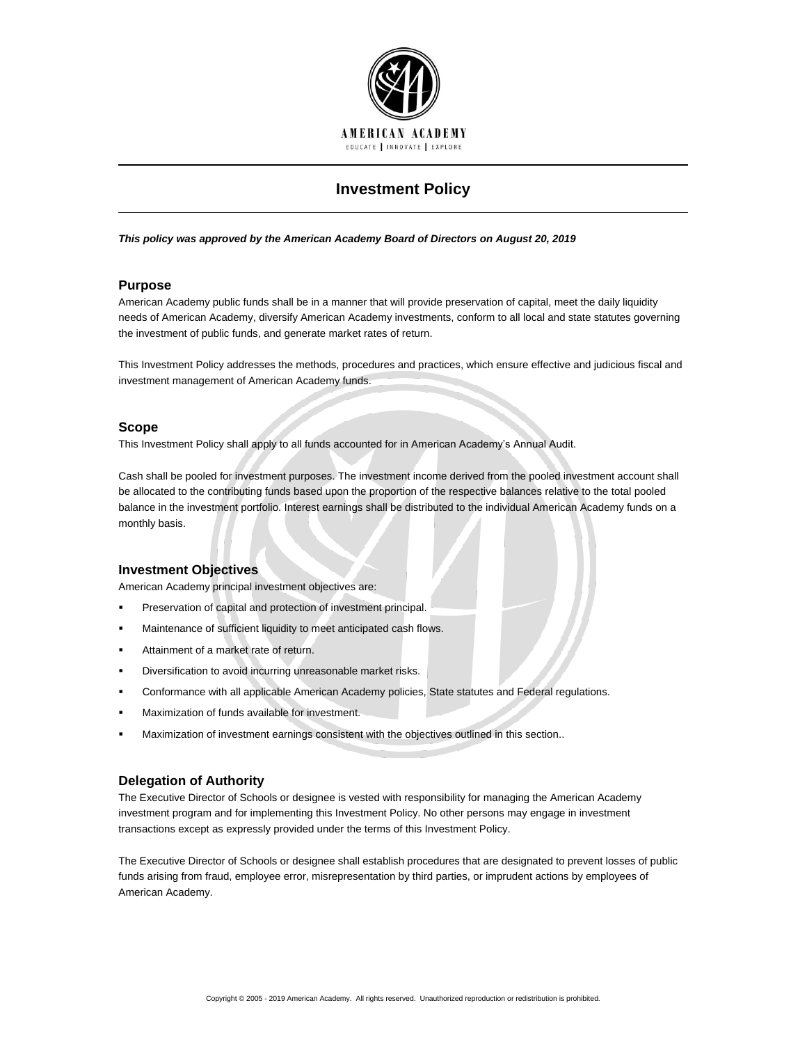

# **Investment Policy**

#### *This policy was approved by the American Academy Board of Directors on August 20, 2019*

## **Purpose**

American Academy public funds shall be in a manner that will provide preservation of capital, meet the daily liquidity needs of American Academy, diversify American Academy investments, conform to all local and state statutes governing the investment of public funds, and generate market rates of return.

This Investment Policy addresses the methods, procedures and practices, which ensure effective and judicious fiscal and investment management of American Academy funds.

## **Scope**

This Investment Policy shall apply to all funds accounted for in American Academy's Annual Audit.

Cash shall be pooled for investment purposes. The investment income derived from the pooled investment account shall be allocated to the contributing funds based upon the proportion of the respective balances relative to the total pooled balance in the investment portfolio. Interest earnings shall be distributed to the individual American Academy funds on a monthly basis.

## **Investment Objectives**

American Academy principal investment objectives are:

- **Preservation of capital and protection of investment principal.**
- **Kaintenance of sufficient liquidity to meet anticipated cash flows.**
- **Attainment of a market rate of return.**
- **•** Diversification to avoid incurring unreasonable market risks.
- Conformance with all applicable American Academy policies, State statutes and Federal regulations.
- Maximization of funds available for investment.
- Maximization of investment earnings consistent with the objectives outlined in this section..

## **Delegation of Authority**

The Executive Director of Schools or designee is vested with responsibility for managing the American Academy investment program and for implementing this Investment Policy. No other persons may engage in investment transactions except as expressly provided under the terms of this Investment Policy.

The Executive Director of Schools or designee shall establish procedures that are designated to prevent losses of public funds arising from fraud, employee error, misrepresentation by third parties, or imprudent actions by employees of American Academy.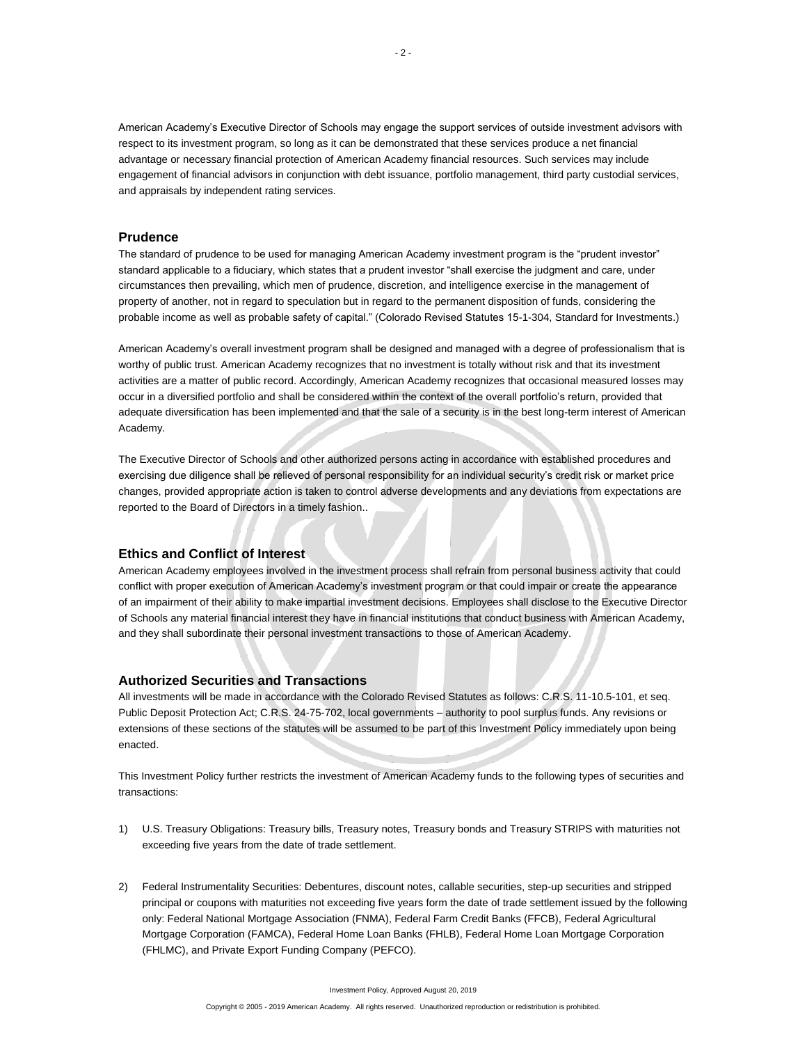American Academy's Executive Director of Schools may engage the support services of outside investment advisors with respect to its investment program, so long as it can be demonstrated that these services produce a net financial advantage or necessary financial protection of American Academy financial resources. Such services may include engagement of financial advisors in conjunction with debt issuance, portfolio management, third party custodial services, and appraisals by independent rating services.

## **Prudence**

The standard of prudence to be used for managing American Academy investment program is the "prudent investor" standard applicable to a fiduciary, which states that a prudent investor "shall exercise the judgment and care, under circumstances then prevailing, which men of prudence, discretion, and intelligence exercise in the management of property of another, not in regard to speculation but in regard to the permanent disposition of funds, considering the probable income as well as probable safety of capital." (Colorado Revised Statutes 15-1-304, Standard for Investments.)

American Academy's overall investment program shall be designed and managed with a degree of professionalism that is worthy of public trust. American Academy recognizes that no investment is totally without risk and that its investment activities are a matter of public record. Accordingly, American Academy recognizes that occasional measured losses may occur in a diversified portfolio and shall be considered within the context of the overall portfolio's return, provided that adequate diversification has been implemented and that the sale of a security is in the best long-term interest of American Academy.

The Executive Director of Schools and other authorized persons acting in accordance with established procedures and exercising due diligence shall be relieved of personal responsibility for an individual security's credit risk or market price changes, provided appropriate action is taken to control adverse developments and any deviations from expectations are reported to the Board of Directors in a timely fashion..

#### **Ethics and Conflict of Interest**

American Academy employees involved in the investment process shall refrain from personal business activity that could conflict with proper execution of American Academy's investment program or that could impair or create the appearance of an impairment of their ability to make impartial investment decisions. Employees shall disclose to the Executive Director of Schools any material financial interest they have in financial institutions that conduct business with American Academy, and they shall subordinate their personal investment transactions to those of American Academy.

## **Authorized Securities and Transactions**

All investments will be made in accordance with the Colorado Revised Statutes as follows: C.R.S. 11-10.5-101, et seq. Public Deposit Protection Act; C.R.S. 24-75-702, local governments – authority to pool surplus funds. Any revisions or extensions of these sections of the statutes will be assumed to be part of this Investment Policy immediately upon being enacted.

This Investment Policy further restricts the investment of American Academy funds to the following types of securities and transactions:

- 1) U.S. Treasury Obligations: Treasury bills, Treasury notes, Treasury bonds and Treasury STRIPS with maturities not exceeding five years from the date of trade settlement.
- 2) Federal Instrumentality Securities: Debentures, discount notes, callable securities, step-up securities and stripped principal or coupons with maturities not exceeding five years form the date of trade settlement issued by the following only: Federal National Mortgage Association (FNMA), Federal Farm Credit Banks (FFCB), Federal Agricultural Mortgage Corporation (FAMCA), Federal Home Loan Banks (FHLB), Federal Home Loan Mortgage Corporation (FHLMC), and Private Export Funding Company (PEFCO).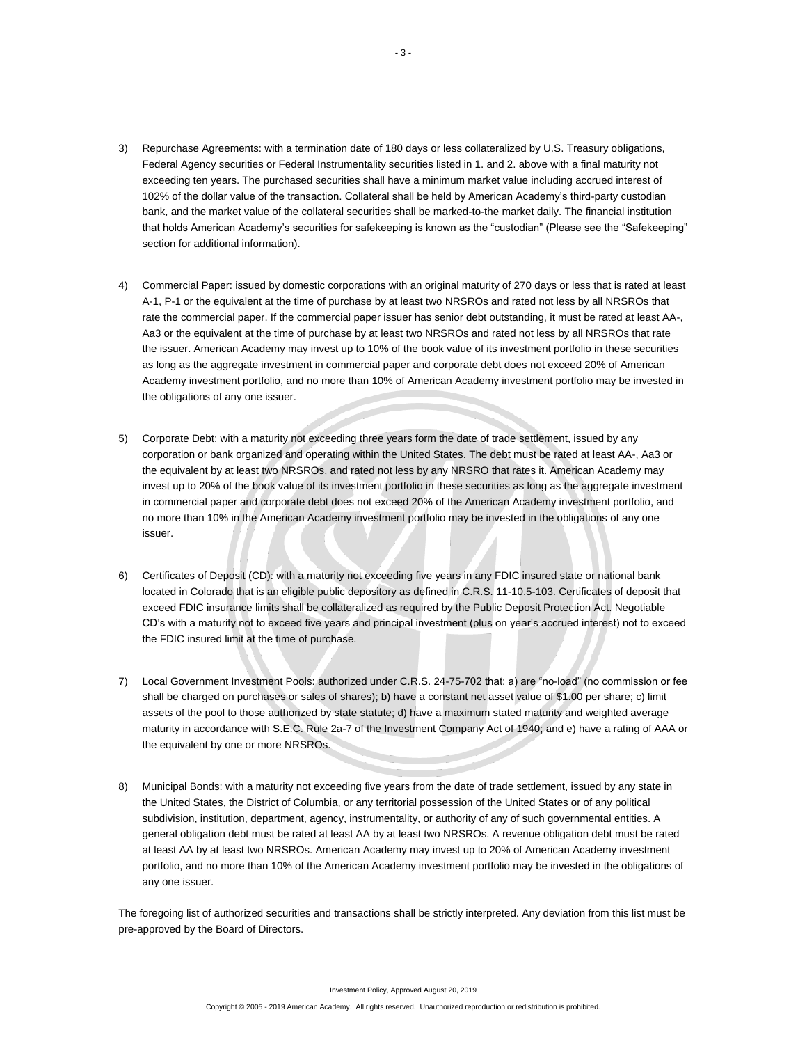- 3) Repurchase Agreements: with a termination date of 180 days or less collateralized by U.S. Treasury obligations, Federal Agency securities or Federal Instrumentality securities listed in 1. and 2. above with a final maturity not exceeding ten years. The purchased securities shall have a minimum market value including accrued interest of 102% of the dollar value of the transaction. Collateral shall be held by American Academy's third-party custodian bank, and the market value of the collateral securities shall be marked-to-the market daily. The financial institution that holds American Academy's securities for safekeeping is known as the "custodian" (Please see the "Safekeeping" section for additional information).
- 4) Commercial Paper: issued by domestic corporations with an original maturity of 270 days or less that is rated at least A-1, P-1 or the equivalent at the time of purchase by at least two NRSROs and rated not less by all NRSROs that rate the commercial paper. If the commercial paper issuer has senior debt outstanding, it must be rated at least AA-, Aa3 or the equivalent at the time of purchase by at least two NRSROs and rated not less by all NRSROs that rate the issuer. American Academy may invest up to 10% of the book value of its investment portfolio in these securities as long as the aggregate investment in commercial paper and corporate debt does not exceed 20% of American Academy investment portfolio, and no more than 10% of American Academy investment portfolio may be invested in the obligations of any one issuer.
- 5) Corporate Debt: with a maturity not exceeding three years form the date of trade settlement, issued by any corporation or bank organized and operating within the United States. The debt must be rated at least AA-, Aa3 or the equivalent by at least two NRSROs, and rated not less by any NRSRO that rates it. American Academy may invest up to 20% of the book value of its investment portfolio in these securities as long as the aggregate investment in commercial paper and corporate debt does not exceed 20% of the American Academy investment portfolio, and no more than 10% in the American Academy investment portfolio may be invested in the obligations of any one issuer.
- 6) Certificates of Deposit (CD): with a maturity not exceeding five years in any FDIC insured state or national bank located in Colorado that is an eligible public depository as defined in C.R.S. 11-10.5-103. Certificates of deposit that exceed FDIC insurance limits shall be collateralized as required by the Public Deposit Protection Act. Negotiable CD's with a maturity not to exceed five years and principal investment (plus on year's accrued interest) not to exceed the FDIC insured limit at the time of purchase.
- 7) Local Government Investment Pools: authorized under C.R.S. 24-75-702 that: a) are "no-load" (no commission or fee shall be charged on purchases or sales of shares); b) have a constant net asset value of \$1.00 per share; c) limit assets of the pool to those authorized by state statute; d) have a maximum stated maturity and weighted average maturity in accordance with S.E.C. Rule 2a-7 of the Investment Company Act of 1940; and e) have a rating of AAA or the equivalent by one or more NRSROs.
- 8) Municipal Bonds: with a maturity not exceeding five years from the date of trade settlement, issued by any state in the United States, the District of Columbia, or any territorial possession of the United States or of any political subdivision, institution, department, agency, instrumentality, or authority of any of such governmental entities. A general obligation debt must be rated at least AA by at least two NRSROs. A revenue obligation debt must be rated at least AA by at least two NRSROs. American Academy may invest up to 20% of American Academy investment portfolio, and no more than 10% of the American Academy investment portfolio may be invested in the obligations of any one issuer.

The foregoing list of authorized securities and transactions shall be strictly interpreted. Any deviation from this list must be pre-approved by the Board of Directors.

Investment Policy, Approved August 20, 2019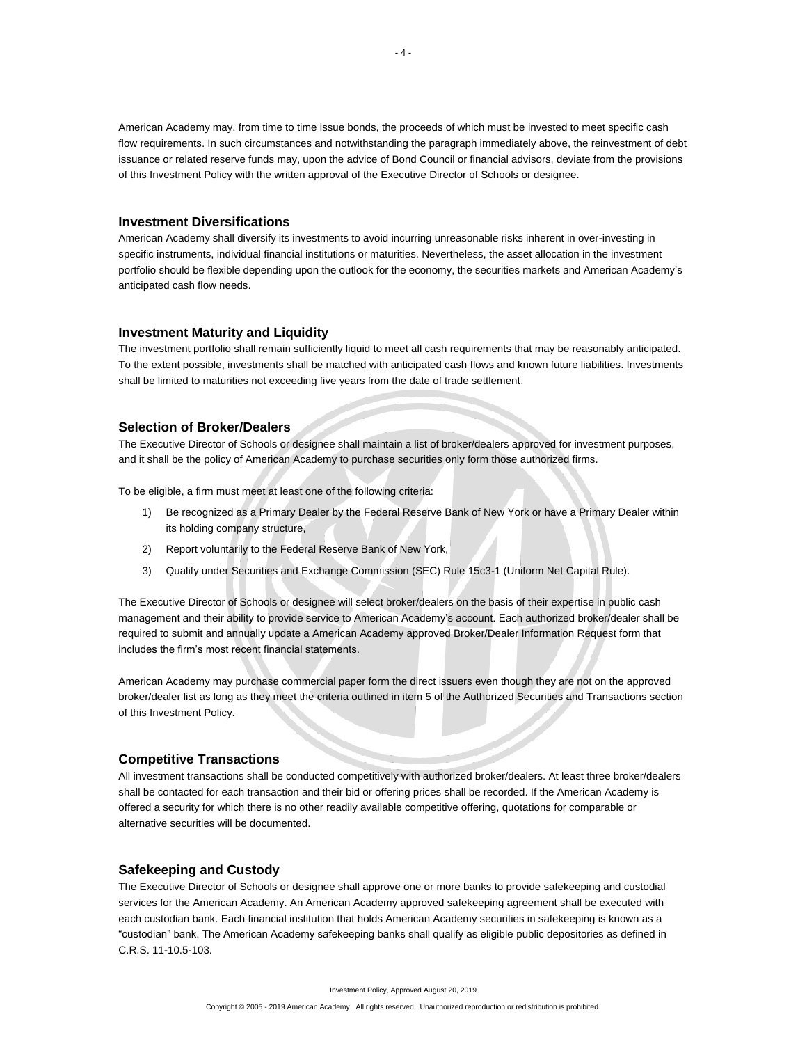American Academy may, from time to time issue bonds, the proceeds of which must be invested to meet specific cash flow requirements. In such circumstances and notwithstanding the paragraph immediately above, the reinvestment of debt issuance or related reserve funds may, upon the advice of Bond Council or financial advisors, deviate from the provisions of this Investment Policy with the written approval of the Executive Director of Schools or designee.

## **Investment Diversifications**

American Academy shall diversify its investments to avoid incurring unreasonable risks inherent in over-investing in specific instruments, individual financial institutions or maturities. Nevertheless, the asset allocation in the investment portfolio should be flexible depending upon the outlook for the economy, the securities markets and American Academy's anticipated cash flow needs.

## **Investment Maturity and Liquidity**

The investment portfolio shall remain sufficiently liquid to meet all cash requirements that may be reasonably anticipated. To the extent possible, investments shall be matched with anticipated cash flows and known future liabilities. Investments shall be limited to maturities not exceeding five years from the date of trade settlement.

### **Selection of Broker/Dealers**

The Executive Director of Schools or designee shall maintain a list of broker/dealers approved for investment purposes, and it shall be the policy of American Academy to purchase securities only form those authorized firms.

To be eligible, a firm must meet at least one of the following criteria:

- 1) Be recognized as a Primary Dealer by the Federal Reserve Bank of New York or have a Primary Dealer within its holding company structure,
- 2) Report voluntarily to the Federal Reserve Bank of New York,
- 3) Qualify under Securities and Exchange Commission (SEC) Rule 15c3-1 (Uniform Net Capital Rule).

The Executive Director of Schools or designee will select broker/dealers on the basis of their expertise in public cash management and their ability to provide service to American Academy's account. Each authorized broker/dealer shall be required to submit and annually update a American Academy approved Broker/Dealer Information Request form that includes the firm's most recent financial statements.

American Academy may purchase commercial paper form the direct issuers even though they are not on the approved broker/dealer list as long as they meet the criteria outlined in item 5 of the Authorized Securities and Transactions section of this Investment Policy.

## **Competitive Transactions**

All investment transactions shall be conducted competitively with authorized broker/dealers. At least three broker/dealers shall be contacted for each transaction and their bid or offering prices shall be recorded. If the American Academy is offered a security for which there is no other readily available competitive offering, quotations for comparable or alternative securities will be documented.

## **Safekeeping and Custody**

The Executive Director of Schools or designee shall approve one or more banks to provide safekeeping and custodial services for the American Academy. An American Academy approved safekeeping agreement shall be executed with each custodian bank. Each financial institution that holds American Academy securities in safekeeping is known as a "custodian" bank. The American Academy safekeeping banks shall qualify as eligible public depositories as defined in C.R.S. 11-10.5-103.